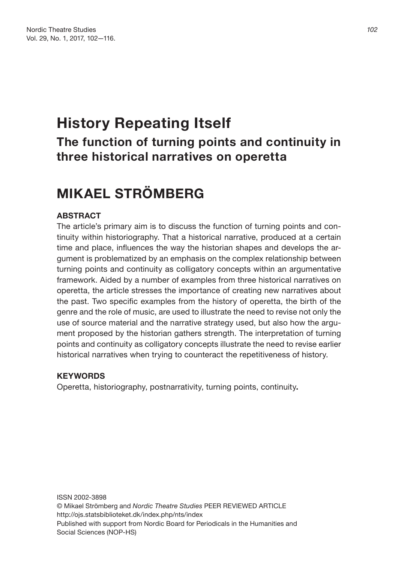## **History Repeating Itself The function of turning points and continuity in three historical narratives on operetta**

## **MIKAEL STRÖMBERG**

## **ABSTRACT**

The article's primary aim is to discuss the function of turning points and continuity within historiography. That a historical narrative, produced at a certain time and place, influences the way the historian shapes and develops the argument is problematized by an emphasis on the complex relationship between turning points and continuity as colligatory concepts within an argumentative framework. Aided by a number of examples from three historical narratives on operetta, the article stresses the importance of creating new narratives about the past. Two specific examples from the history of operetta, the birth of the genre and the role of music, are used to illustrate the need to revise not only the use of source material and the narrative strategy used, but also how the argument proposed by the historian gathers strength. The interpretation of turning points and continuity as colligatory concepts illustrate the need to revise earlier historical narratives when trying to counteract the repetitiveness of history.

## **KEYWORDS**

Operetta, historiography, postnarrativity, turning points, continuity**.**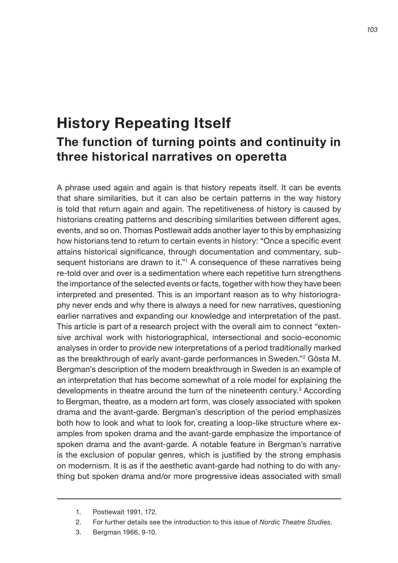# **History Repeating Itself The function of turning points and continuity in three historical narratives on operetta**

A phrase used again and again is that history repeats itself. It can be events that share similarities, but it can also be certain patterns in the way history is told that return again and again. The repetitiveness of history is caused by historians creating patterns and describing similarities between different ages, events, and so on. Thomas Postlewait adds another layer to this by emphasizing how historians tend to return to certain events in history: "Once a specific event attains historical significance, through documentation and commentary, subsequent historians are drawn to it."1 A consequence of these narratives being re-told over and over is a sedimentation where each repetitive turn strengthens the importance of the selected events or facts, together with how they have been interpreted and presented. This is an important reason as to why historiography never ends and why there is always a need for new narratives, questioning earlier narratives and expanding our knowledge and interpretation of the past. This article is part of a research project with the overall aim to connect "extensive archival work with historiographical, intersectional and socio-economic analyses in order to provide new interpretations of a period traditionally marked as the breakthrough of early avant-garde performances in Sweden."2 Gösta M. Bergman's description of the modern breakthrough in Sweden is an example of an interpretation that has become somewhat of a role model for explaining the developments in theatre around the turn of the nineteenth century.<sup>3</sup> According to Bergman, theatre, as a modern art form, was closely associated with spoken drama and the avant-garde. Bergman's description of the period emphasizes both how to look and what to look for, creating a loop-like structure where examples from spoken drama and the avant-garde emphasize the importance of spoken drama and the avant-garde. A notable feature in Bergman's narrative is the exclusion of popular genres, which is justified by the strong emphasis on modernism. It is as if the aesthetic avant-garde had nothing to do with anything but spoken drama and/or more progressive ideas associated with small

<sup>1.</sup> Postlewait 1991, 172.

<sup>2.</sup> For further details see the introduction to this issue of *Nordic Theatre Studies*.

<sup>3.</sup> Bergman 1966, 9-10.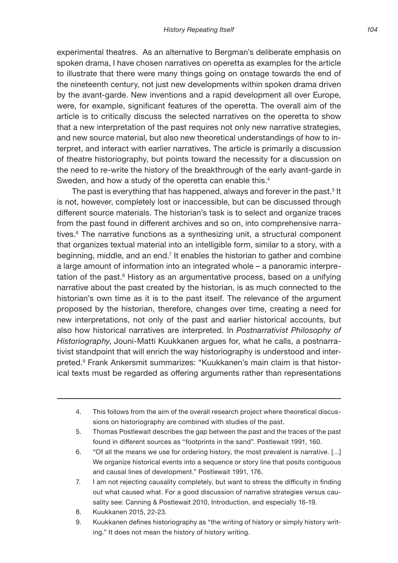experimental theatres. As an alternative to Bergman's deliberate emphasis on spoken drama, I have chosen narratives on operetta as examples for the article to illustrate that there were many things going on onstage towards the end of the nineteenth century, not just new developments within spoken drama driven by the avant-garde. New inventions and a rapid development all over Europe, were, for example, significant features of the operetta. The overall aim of the article is to critically discuss the selected narratives on the operetta to show that a new interpretation of the past requires not only new narrative strategies, and new source material, but also new theoretical understandings of how to interpret, and interact with earlier narratives. The article is primarily a discussion of theatre historiography, but points toward the necessity for a discussion on the need to re-write the history of the breakthrough of the early avant-garde in Sweden, and how a study of the operetta can enable this.<sup>4</sup>

The past is everything that has happened, always and forever in the past. $^{\rm 5}$  It is not, however, completely lost or inaccessible, but can be discussed through different source materials. The historian's task is to select and organize traces from the past found in different archives and so on, into comprehensive narratives.6 The narrative functions as a synthesizing unit, a structural component that organizes textual material into an intelligible form, similar to a story, with a beginning, middle, and an end.<sup>7</sup> It enables the historian to gather and combine a large amount of information into an integrated whole – a panoramic interpretation of the past.<sup>8</sup> History as an argumentative process, based on a unifying narrative about the past created by the historian, is as much connected to the historian's own time as it is to the past itself. The relevance of the argument proposed by the historian, therefore, changes over time, creating a need for new interpretations, not only of the past and earlier historical accounts, but also how historical narratives are interpreted. In *Postnarrativist Philosophy of Historiography*, Jouni-Matti Kuukkanen argues for, what he calls, a postnarrativist standpoint that will enrich the way historiography is understood and interpreted.9 Frank Ankersmit summarizes: "Kuukkanen's main claim is that historical texts must be regarded as offering arguments rather than representations

- 4. This follows from the aim of the overall research project where theoretical discussions on historiography are combined with studies of the past.
- 5. Thomas Postlewait describes the gap between the past and the traces of the past found in different sources as "footprints in the sand". Postlewait 1991, 160.
- 6. "Of all the means we use for ordering history, the most prevalent is narrative. […] We organize historical events into a sequence or story line that posits contiguous and causal lines of development." Postlewait 1991, 176.
- 7. I am not rejecting causality completely, but want to stress the difficulty in finding out what caused what. For a good discussion of narrative strategies versus causality see: Canning & Postlewait 2010, Introduction, and especially 16-19.
- 8. Kuukkanen 2015, 22-23.
- 9. Kuukkanen defines historiography as "the writing of history or simply history writing." It does not mean the history of history writing.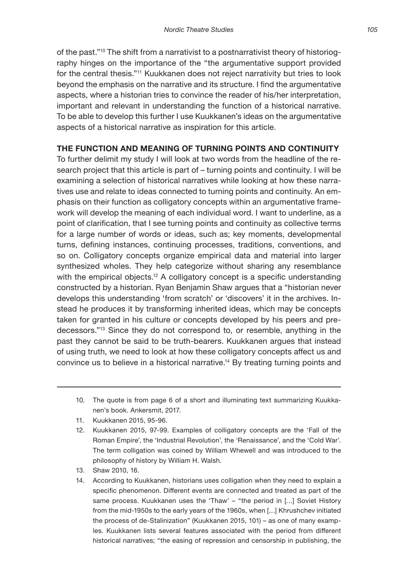of the past."10 The shift from a narrativist to a postnarrativist theory of historiography hinges on the importance of the "the argumentative support provided for the central thesis."11 Kuukkanen does not reject narrativity but tries to look beyond the emphasis on the narrative and its structure. I find the argumentative aspects, where a historian tries to convince the reader of his/her interpretation, important and relevant in understanding the function of a historical narrative. To be able to develop this further I use Kuukkanen's ideas on the argumentative aspects of a historical narrative as inspiration for this article.

## **THE FUNCTION AND MEANING OF TURNING POINTS AND CONTINUITY**

To further delimit my study I will look at two words from the headline of the research project that this article is part of – turning points and continuity. I will be examining a selection of historical narratives while looking at how these narratives use and relate to ideas connected to turning points and continuity. An emphasis on their function as colligatory concepts within an argumentative framework will develop the meaning of each individual word. I want to underline, as a point of clarification, that I see turning points and continuity as collective terms for a large number of words or ideas, such as; key moments, developmental turns, defining instances, continuing processes, traditions, conventions, and so on. Colligatory concepts organize empirical data and material into larger synthesized wholes. They help categorize without sharing any resemblance with the empirical objects.<sup>12</sup> A colligatory concept is a specific understanding constructed by a historian. Ryan Benjamin Shaw argues that a "historian never develops this understanding 'from scratch' or 'discovers' it in the archives. Instead he produces it by transforming inherited ideas, which may be concepts taken for granted in his culture or concepts developed by his peers and predecessors."13 Since they do not correspond to, or resemble, anything in the past they cannot be said to be truth-bearers. Kuukkanen argues that instead of using truth, we need to look at how these colligatory concepts affect us and convince us to believe in a historical narrative.14 By treating turning points and

- 10. The quote is from page 6 of a short and illuminating text summarizing Kuukkanen's book. Ankersmit, 2017.
- 11. Kuukkanen 2015, 95-96.
- 12. Kuukkanen 2015, 97-99. Examples of colligatory concepts are the 'Fall of the Roman Empire', the 'Industrial Revolution', the 'Renaissance', and the 'Cold War'. The term colligation was coined by William Whewell and was introduced to the philosophy of history by William H. Walsh.
- 13. Shaw 2010, 16.
- 14. According to Kuukkanen, historians uses colligation when they need to explain a specific phenomenon. Different events are connected and treated as part of the same process. Kuukkanen uses the 'Thaw' – "the period in [...] Soviet History from the mid-1950s to the early years of the 1960s, when […] Khrushchev initiated the process of de-Stalinization" (Kuukkanen 2015, 101) – as one of many examples. Kuukkanen lists several features associated with the period from different historical narratives; "the easing of repression and censorship in publishing, the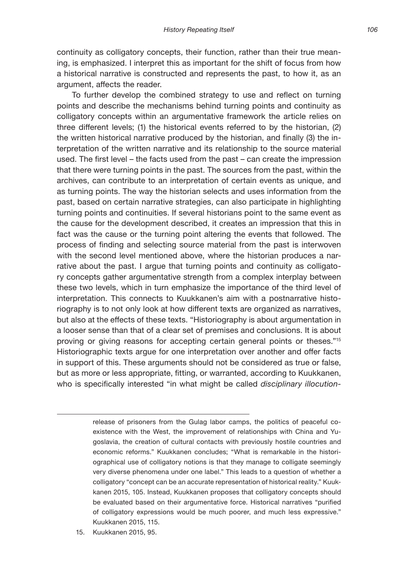continuity as colligatory concepts, their function, rather than their true meaning, is emphasized. I interpret this as important for the shift of focus from how a historical narrative is constructed and represents the past, to how it, as an argument, affects the reader.

To further develop the combined strategy to use and reflect on turning points and describe the mechanisms behind turning points and continuity as colligatory concepts within an argumentative framework the article relies on three different levels; (1) the historical events referred to by the historian, (2) the written historical narrative produced by the historian, and finally (3) the interpretation of the written narrative and its relationship to the source material used. The first level – the facts used from the past – can create the impression that there were turning points in the past. The sources from the past, within the archives, can contribute to an interpretation of certain events as unique, and as turning points. The way the historian selects and uses information from the past, based on certain narrative strategies, can also participate in highlighting turning points and continuities. If several historians point to the same event as the cause for the development described, it creates an impression that this in fact was the cause or the turning point altering the events that followed. The process of finding and selecting source material from the past is interwoven with the second level mentioned above, where the historian produces a narrative about the past. I argue that turning points and continuity as colligatory concepts gather argumentative strength from a complex interplay between these two levels, which in turn emphasize the importance of the third level of interpretation. This connects to Kuukkanen's aim with a postnarrative historiography is to not only look at how different texts are organized as narratives, but also at the effects of these texts. "Historiography is about argumentation in a looser sense than that of a clear set of premises and conclusions. It is about proving or giving reasons for accepting certain general points or theses."15 Historiographic texts argue for one interpretation over another and offer facts in support of this. These arguments should not be considered as true or false, but as more or less appropriate, fitting, or warranted, according to Kuukkanen, who is specifically interested "in what might be called *disciplinary illocution-*

release of prisoners from the Gulag labor camps, the politics of peaceful coexistence with the West, the improvement of relationships with China and Yugoslavia, the creation of cultural contacts with previously hostile countries and economic reforms." Kuukkanen concludes; "What is remarkable in the historiographical use of colligatory notions is that they manage to colligate seemingly very diverse phenomena under one label." This leads to a question of whether a colligatory "concept can be an accurate representation of historical reality." Kuukkanen 2015, 105. Instead, Kuukkanen proposes that colligatory concepts should be evaluated based on their argumentative force. Historical narratives "purified of colligatory expressions would be much poorer, and much less expressive." Kuukkanen 2015, 115.

<sup>15.</sup> Kuukkanen 2015, 95.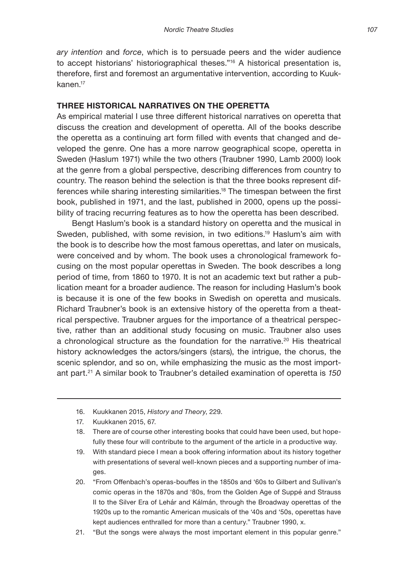*ary intention* and *force*, which is to persuade peers and the wider audience to accept historians' historiographical theses."16 A historical presentation is, therefore, first and foremost an argumentative intervention, according to Kuukkanen.<sup>17</sup>

#### **THREE HISTORICAL NARRATIVES ON THE OPERETTA**

As empirical material I use three different historical narratives on operetta that discuss the creation and development of operetta. All of the books describe the operetta as a continuing art form filled with events that changed and developed the genre. One has a more narrow geographical scope, operetta in Sweden (Haslum 1971) while the two others (Traubner 1990, Lamb 2000) look at the genre from a global perspective, describing differences from country to country. The reason behind the selection is that the three books represent differences while sharing interesting similarities.<sup>18</sup> The timespan between the first book, published in 1971, and the last, published in 2000, opens up the possibility of tracing recurring features as to how the operetta has been described.

Bengt Haslum's book is a standard history on operetta and the musical in Sweden, published, with some revision, in two editions.<sup>19</sup> Haslum's aim with the book is to describe how the most famous operettas, and later on musicals, were conceived and by whom. The book uses a chronological framework focusing on the most popular operettas in Sweden. The book describes a long period of time, from 1860 to 1970. It is not an academic text but rather a publication meant for a broader audience. The reason for including Haslum's book is because it is one of the few books in Swedish on operetta and musicals. Richard Traubner's book is an extensive history of the operetta from a theatrical perspective. Traubner argues for the importance of a theatrical perspective, rather than an additional study focusing on music. Traubner also uses a chronological structure as the foundation for the narrative.<sup>20</sup> His theatrical history acknowledges the actors/singers (stars), the intrigue, the chorus, the scenic splendor, and so on, while emphasizing the music as the most important part.21 A similar book to Traubner's detailed examination of operetta is *150* 

21. "But the songs were always the most important element in this popular genre."

<sup>16.</sup> Kuukkanen 2015, *History and Theory*, 229.

<sup>17.</sup> Kuukkanen 2015, 67.

<sup>18.</sup> There are of course other interesting books that could have been used, but hopefully these four will contribute to the argument of the article in a productive way.

<sup>19.</sup> With standard piece I mean a book offering information about its history together with presentations of several well-known pieces and a supporting number of images.

<sup>20.</sup> "From Offenbach's operas-bouffes in the 1850s and '60s to Gilbert and Sullivan's comic operas in the 1870s and '80s, from the Golden Age of Suppé and Strauss II to the Silver Era of Lehár and Kálmán, through the Broadway operettas of the 1920s up to the romantic American musicals of the '40s and '50s, operettas have kept audiences enthralled for more than a century." Traubner 1990, x.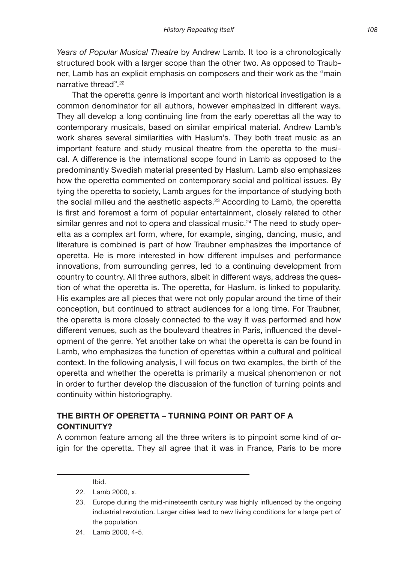*Years of Popular Musical Theatre* by Andrew Lamb. It too is a chronologically structured book with a larger scope than the other two. As opposed to Traubner, Lamb has an explicit emphasis on composers and their work as the "main narrative thread".22

That the operetta genre is important and worth historical investigation is a common denominator for all authors, however emphasized in different ways. They all develop a long continuing line from the early operettas all the way to contemporary musicals, based on similar empirical material. Andrew Lamb's work shares several similarities with Haslum's. They both treat music as an important feature and study musical theatre from the operetta to the musical. A difference is the international scope found in Lamb as opposed to the predominantly Swedish material presented by Haslum. Lamb also emphasizes how the operetta commented on contemporary social and political issues. By tying the operetta to society, Lamb argues for the importance of studying both the social milieu and the aesthetic aspects.<sup>23</sup> According to Lamb, the operetta is first and foremost a form of popular entertainment, closely related to other similar genres and not to opera and classical music.<sup>24</sup> The need to study operetta as a complex art form, where, for example, singing, dancing, music, and literature is combined is part of how Traubner emphasizes the importance of operetta. He is more interested in how different impulses and performance innovations, from surrounding genres, led to a continuing development from country to country. All three authors, albeit in different ways, address the question of what the operetta is. The operetta, for Haslum, is linked to popularity. His examples are all pieces that were not only popular around the time of their conception, but continued to attract audiences for a long time. For Traubner, the operetta is more closely connected to the way it was performed and how different venues, such as the boulevard theatres in Paris, influenced the development of the genre. Yet another take on what the operetta is can be found in Lamb, who emphasizes the function of operettas within a cultural and political context. In the following analysis, I will focus on two examples, the birth of the operetta and whether the operetta is primarily a musical phenomenon or not in order to further develop the discussion of the function of turning points and continuity within historiography.

## **THE BIRTH OF OPERETTA – TURNING POINT OR PART OF A CONTINUITY?**

A common feature among all the three writers is to pinpoint some kind of origin for the operetta. They all agree that it was in France, Paris to be more

Ibid.

24. Lamb 2000, 4-5.

<sup>22.</sup> Lamb 2000, x.

<sup>23.</sup> Europe during the mid-nineteenth century was highly influenced by the ongoing industrial revolution. Larger cities lead to new living conditions for a large part of the population.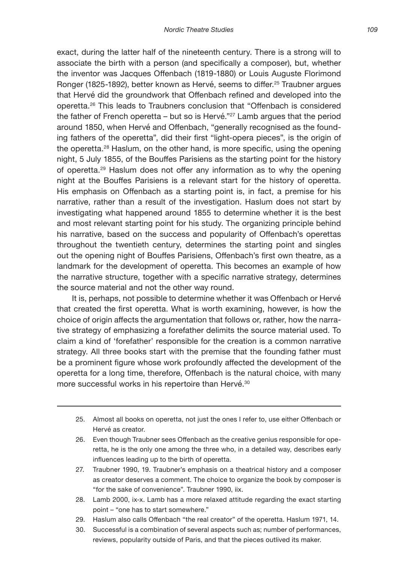exact, during the latter half of the nineteenth century. There is a strong will to associate the birth with a person (and specifically a composer), but, whether the inventor was Jacques Offenbach (1819-1880) or Louis Auguste Florimond Ronger (1825-1892), better known as Hervé, seems to differ.<sup>25</sup> Traubner argues that Hervé did the groundwork that Offenbach refined and developed into the operetta.26 This leads to Traubners conclusion that "Offenbach is considered the father of French operetta – but so is Hervé."<sup>27</sup> Lamb argues that the period around 1850, when Hervé and Offenbach, "generally recognised as the founding fathers of the operetta", did their first "light-opera pieces", is the origin of the operetta.28 Haslum, on the other hand, is more specific, using the opening night, 5 July 1855, of the Bouffes Parisiens as the starting point for the history of operetta.<sup>29</sup> Haslum does not offer any information as to why the opening night at the Bouffes Parisiens is a relevant start for the history of operetta. His emphasis on Offenbach as a starting point is, in fact, a premise for his narrative, rather than a result of the investigation. Haslum does not start by investigating what happened around 1855 to determine whether it is the best and most relevant starting point for his study. The organizing principle behind his narrative, based on the success and popularity of Offenbach's operettas throughout the twentieth century, determines the starting point and singles out the opening night of Bouffes Parisiens, Offenbach's first own theatre, as a landmark for the development of operetta. This becomes an example of how the narrative structure, together with a specific narrative strategy, determines the source material and not the other way round.

It is, perhaps, not possible to determine whether it was Offenbach or Hervé that created the first operetta. What is worth examining, however, is how the choice of origin affects the argumentation that follows or, rather, how the narrative strategy of emphasizing a forefather delimits the source material used. To claim a kind of 'forefather' responsible for the creation is a common narrative strategy. All three books start with the premise that the founding father must be a prominent figure whose work profoundly affected the development of the operetta for a long time, therefore, Offenbach is the natural choice, with many more successful works in his repertoire than Hervé.<sup>30</sup>

- 25. Almost all books on operetta, not just the ones I refer to, use either Offenbach or Hervé as creator.
- 26. Even though Traubner sees Offenbach as the creative genius responsible for operetta, he is the only one among the three who, in a detailed way, describes early influences leading up to the birth of operetta.
- 27. Traubner 1990, 19. Traubner's emphasis on a theatrical history and a composer as creator deserves a comment. The choice to organize the book by composer is "for the sake of convenience". Traubner 1990, iix.
- 28. Lamb 2000, ix-x. Lamb has a more relaxed attitude regarding the exact starting point – "one has to start somewhere."
- 29. Haslum also calls Offenbach "the real creator" of the operetta. Haslum 1971, 14.
- 30. Successful is a combination of several aspects such as; number of performances, reviews, popularity outside of Paris, and that the pieces outlived its maker.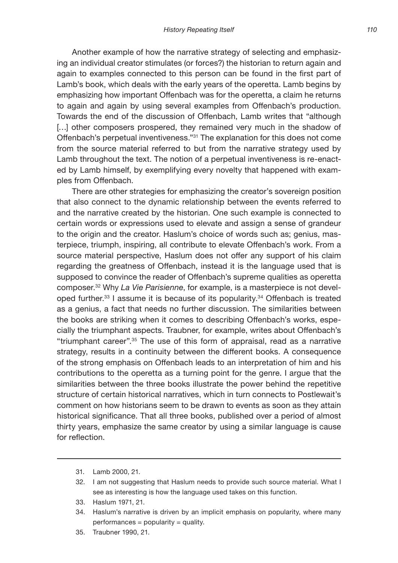Another example of how the narrative strategy of selecting and emphasizing an individual creator stimulates (or forces?) the historian to return again and again to examples connected to this person can be found in the first part of Lamb's book, which deals with the early years of the operetta. Lamb begins by emphasizing how important Offenbach was for the operetta, a claim he returns to again and again by using several examples from Offenbach's production. Towards the end of the discussion of Offenbach, Lamb writes that "although [...] other composers prospered, they remained very much in the shadow of Offenbach's perpetual inventiveness."31 The explanation for this does not come from the source material referred to but from the narrative strategy used by Lamb throughout the text. The notion of a perpetual inventiveness is re-enacted by Lamb himself, by exemplifying every novelty that happened with examples from Offenbach.

There are other strategies for emphasizing the creator's sovereign position that also connect to the dynamic relationship between the events referred to and the narrative created by the historian. One such example is connected to certain words or expressions used to elevate and assign a sense of grandeur to the origin and the creator. Haslum's choice of words such as; genius, masterpiece, triumph, inspiring, all contribute to elevate Offenbach's work. From a source material perspective, Haslum does not offer any support of his claim regarding the greatness of Offenbach, instead it is the language used that is supposed to convince the reader of Offenbach's supreme qualities as operetta composer.32 Why *La Vie Parisienne*, for example, is a masterpiece is not developed further.33 I assume it is because of its popularity.34 Offenbach is treated as a genius, a fact that needs no further discussion. The similarities between the books are striking when it comes to describing Offenbach's works, especially the triumphant aspects. Traubner, for example, writes about Offenbach's "triumphant career".35 The use of this form of appraisal, read as a narrative strategy, results in a continuity between the different books. A consequence of the strong emphasis on Offenbach leads to an interpretation of him and his contributions to the operetta as a turning point for the genre. I argue that the similarities between the three books illustrate the power behind the repetitive structure of certain historical narratives, which in turn connects to Postlewait's comment on how historians seem to be drawn to events as soon as they attain historical significance. That all three books, published over a period of almost thirty years, emphasize the same creator by using a similar language is cause for reflection.

- 31. Lamb 2000, 21.
- 32. I am not suggesting that Haslum needs to provide such source material. What I see as interesting is how the language used takes on this function.
- 33. Haslum 1971, 21.
- 34. Haslum's narrative is driven by an implicit emphasis on popularity, where many  $performances = popularity = quality.$
- 35. Traubner 1990, 21.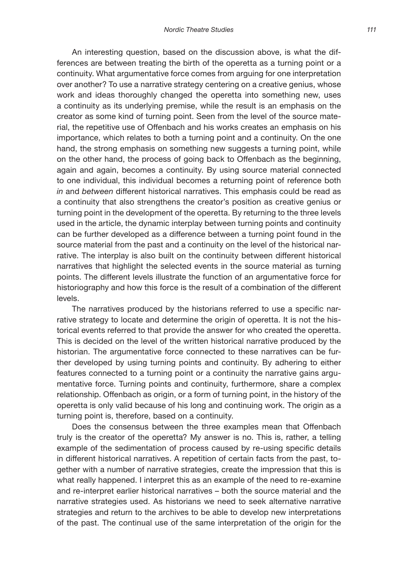An interesting question, based on the discussion above, is what the differences are between treating the birth of the operetta as a turning point or a continuity. What argumentative force comes from arguing for one interpretation over another? To use a narrative strategy centering on a creative genius, whose work and ideas thoroughly changed the operetta into something new, uses a continuity as its underlying premise, while the result is an emphasis on the creator as some kind of turning point. Seen from the level of the source material, the repetitive use of Offenbach and his works creates an emphasis on his importance, which relates to both a turning point and a continuity. On the one hand, the strong emphasis on something new suggests a turning point, while on the other hand, the process of going back to Offenbach as the beginning, again and again, becomes a continuity. By using source material connected to one individual, this individual becomes a returning point of reference both *in* and *between* different historical narratives. This emphasis could be read as a continuity that also strengthens the creator's position as creative genius or turning point in the development of the operetta. By returning to the three levels used in the article, the dynamic interplay between turning points and continuity can be further developed as a difference between a turning point found in the source material from the past and a continuity on the level of the historical narrative. The interplay is also built on the continuity between different historical narratives that highlight the selected events in the source material as turning points. The different levels illustrate the function of an argumentative force for historiography and how this force is the result of a combination of the different levels.

The narratives produced by the historians referred to use a specific narrative strategy to locate and determine the origin of operetta. It is not the historical events referred to that provide the answer for who created the operetta. This is decided on the level of the written historical narrative produced by the historian. The argumentative force connected to these narratives can be further developed by using turning points and continuity. By adhering to either features connected to a turning point or a continuity the narrative gains argumentative force. Turning points and continuity, furthermore, share a complex relationship. Offenbach as origin, or a form of turning point, in the history of the operetta is only valid because of his long and continuing work. The origin as a turning point is, therefore, based on a continuity.

Does the consensus between the three examples mean that Offenbach truly is the creator of the operetta? My answer is no. This is, rather, a telling example of the sedimentation of process caused by re-using specific details in different historical narratives. A repetition of certain facts from the past, together with a number of narrative strategies, create the impression that this is what really happened. I interpret this as an example of the need to re-examine and re-interpret earlier historical narratives – both the source material and the narrative strategies used. As historians we need to seek alternative narrative strategies and return to the archives to be able to develop new interpretations of the past. The continual use of the same interpretation of the origin for the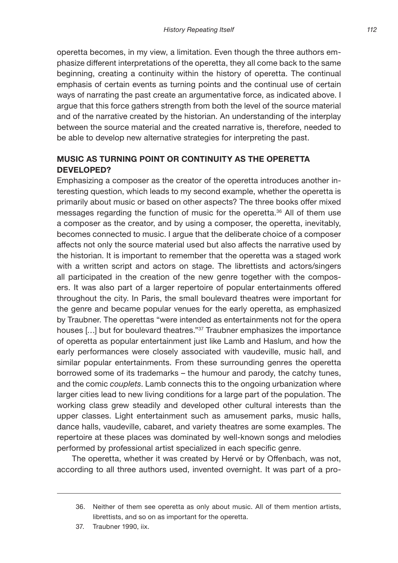operetta becomes, in my view, a limitation. Even though the three authors emphasize different interpretations of the operetta, they all come back to the same beginning, creating a continuity within the history of operetta. The continual emphasis of certain events as turning points and the continual use of certain ways of narrating the past create an argumentative force, as indicated above. I argue that this force gathers strength from both the level of the source material and of the narrative created by the historian. An understanding of the interplay between the source material and the created narrative is, therefore, needed to be able to develop new alternative strategies for interpreting the past.

## **MUSIC AS TURNING POINT OR CONTINUITY AS THE OPERETTA DEVELOPED?**

Emphasizing a composer as the creator of the operetta introduces another interesting question, which leads to my second example, whether the operetta is primarily about music or based on other aspects? The three books offer mixed messages regarding the function of music for the operetta.36 All of them use a composer as the creator, and by using a composer, the operetta, inevitably, becomes connected to music. I argue that the deliberate choice of a composer affects not only the source material used but also affects the narrative used by the historian. It is important to remember that the operetta was a staged work with a written script and actors on stage. The librettists and actors/singers all participated in the creation of the new genre together with the composers. It was also part of a larger repertoire of popular entertainments offered throughout the city. In Paris, the small boulevard theatres were important for the genre and became popular venues for the early operetta, as emphasized by Traubner. The operettas "were intended as entertainments not for the opera houses [...] but for boulevard theatres."<sup>37</sup> Traubner emphasizes the importance of operetta as popular entertainment just like Lamb and Haslum, and how the early performances were closely associated with vaudeville, music hall, and similar popular entertainments. From these surrounding genres the operetta borrowed some of its trademarks – the humour and parody, the catchy tunes, and the comic *couplets*. Lamb connects this to the ongoing urbanization where larger cities lead to new living conditions for a large part of the population. The working class grew steadily and developed other cultural interests than the upper classes. Light entertainment such as amusement parks, music halls, dance halls, vaudeville, cabaret, and variety theatres are some examples. The repertoire at these places was dominated by well-known songs and melodies performed by professional artist specialized in each specific genre.

The operetta, whether it was created by Hervé or by Offenbach, was not, according to all three authors used, invented overnight. It was part of a pro-

<sup>36.</sup> Neither of them see operetta as only about music. All of them mention artists, librettists, and so on as important for the operetta.

<sup>37.</sup> Traubner 1990, iix.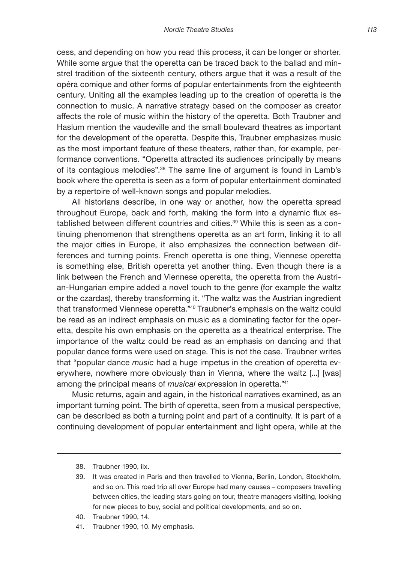cess, and depending on how you read this process, it can be longer or shorter. While some argue that the operetta can be traced back to the ballad and minstrel tradition of the sixteenth century, others argue that it was a result of the opéra comique and other forms of popular entertainments from the eighteenth century. Uniting all the examples leading up to the creation of operetta is the connection to music. A narrative strategy based on the composer as creator affects the role of music within the history of the operetta. Both Traubner and Haslum mention the vaudeville and the small boulevard theatres as important for the development of the operetta. Despite this, Traubner emphasizes music as the most important feature of these theaters, rather than, for example, performance conventions. "Operetta attracted its audiences principally by means of its contagious melodies".38 The same line of argument is found in Lamb's book where the operetta is seen as a form of popular entertainment dominated by a repertoire of well-known songs and popular melodies.

All historians describe, in one way or another, how the operetta spread throughout Europe, back and forth, making the form into a dynamic flux established between different countries and cities.39 While this is seen as a continuing phenomenon that strengthens operetta as an art form, linking it to all the major cities in Europe, it also emphasizes the connection between differences and turning points. French operetta is one thing, Viennese operetta is something else, British operetta yet another thing. Even though there is a link between the French and Viennese operetta, the operetta from the Austrian-Hungarian empire added a novel touch to the genre (for example the waltz or the czardas), thereby transforming it. "The waltz was the Austrian ingredient that transformed Viennese operetta."40 Traubner's emphasis on the waltz could be read as an indirect emphasis on music as a dominating factor for the operetta, despite his own emphasis on the operetta as a theatrical enterprise. The importance of the waltz could be read as an emphasis on dancing and that popular dance forms were used on stage. This is not the case. Traubner writes that "popular dance *music* had a huge impetus in the creation of operetta everywhere, nowhere more obviously than in Vienna, where the waltz [...] [was] among the principal means of *musical* expression in operetta."41

Music returns, again and again, in the historical narratives examined, as an important turning point. The birth of operetta, seen from a musical perspective, can be described as both a turning point and part of a continuity. It is part of a continuing development of popular entertainment and light opera, while at the

41. Traubner 1990, 10. My emphasis.

<sup>38.</sup> Traubner 1990, iix.

<sup>39.</sup> It was created in Paris and then travelled to Vienna, Berlin, London, Stockholm, and so on. This road trip all over Europe had many causes – composers travelling between cities, the leading stars going on tour, theatre managers visiting, looking for new pieces to buy, social and political developments, and so on.

<sup>40.</sup> Traubner 1990, 14.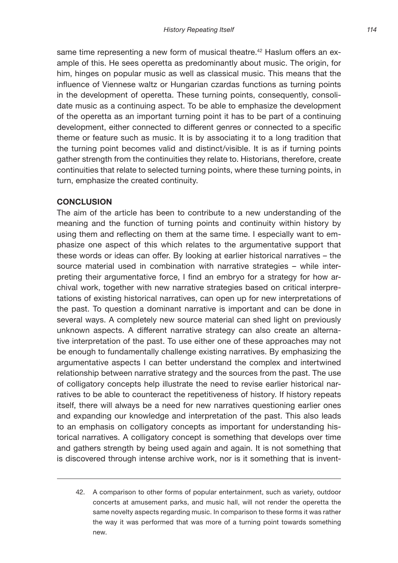same time representing a new form of musical theatre.<sup>42</sup> Haslum offers an example of this. He sees operetta as predominantly about music. The origin, for him, hinges on popular music as well as classical music. This means that the influence of Viennese waltz or Hungarian czardas functions as turning points in the development of operetta. These turning points, consequently, consolidate music as a continuing aspect. To be able to emphasize the development of the operetta as an important turning point it has to be part of a continuing development, either connected to different genres or connected to a specific theme or feature such as music. It is by associating it to a long tradition that the turning point becomes valid and distinct/visible. It is as if turning points gather strength from the continuities they relate to. Historians, therefore, create continuities that relate to selected turning points, where these turning points, in turn, emphasize the created continuity.

#### **CONCLUSION**

The aim of the article has been to contribute to a new understanding of the meaning and the function of turning points and continuity within history by using them and reflecting on them at the same time. I especially want to emphasize one aspect of this which relates to the argumentative support that these words or ideas can offer. By looking at earlier historical narratives – the source material used in combination with narrative strategies – while interpreting their argumentative force, I find an embryo for a strategy for how archival work, together with new narrative strategies based on critical interpretations of existing historical narratives, can open up for new interpretations of the past. To question a dominant narrative is important and can be done in several ways. A completely new source material can shed light on previously unknown aspects. A different narrative strategy can also create an alternative interpretation of the past. To use either one of these approaches may not be enough to fundamentally challenge existing narratives. By emphasizing the argumentative aspects I can better understand the complex and intertwined relationship between narrative strategy and the sources from the past. The use of colligatory concepts help illustrate the need to revise earlier historical narratives to be able to counteract the repetitiveness of history. If history repeats itself, there will always be a need for new narratives questioning earlier ones and expanding our knowledge and interpretation of the past. This also leads to an emphasis on colligatory concepts as important for understanding historical narratives. A colligatory concept is something that develops over time and gathers strength by being used again and again. It is not something that is discovered through intense archive work, nor is it something that is invent-

<sup>42.</sup> A comparison to other forms of popular entertainment, such as variety, outdoor concerts at amusement parks, and music hall, will not render the operetta the same novelty aspects regarding music. In comparison to these forms it was rather the way it was performed that was more of a turning point towards something new.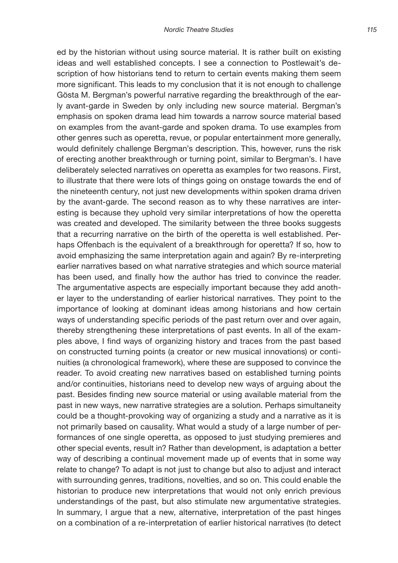ed by the historian without using source material. It is rather built on existing ideas and well established concepts. I see a connection to Postlewait's description of how historians tend to return to certain events making them seem more significant. This leads to my conclusion that it is not enough to challenge Gösta M. Bergman's powerful narrative regarding the breakthrough of the early avant-garde in Sweden by only including new source material. Bergman's emphasis on spoken drama lead him towards a narrow source material based on examples from the avant-garde and spoken drama. To use examples from other genres such as operetta, revue, or popular entertainment more generally, would definitely challenge Bergman's description. This, however, runs the risk of erecting another breakthrough or turning point, similar to Bergman's. I have deliberately selected narratives on operetta as examples for two reasons. First, to illustrate that there were lots of things going on onstage towards the end of the nineteenth century, not just new developments within spoken drama driven by the avant-garde. The second reason as to why these narratives are interesting is because they uphold very similar interpretations of how the operetta was created and developed. The similarity between the three books suggests that a recurring narrative on the birth of the operetta is well established. Perhaps Offenbach is the equivalent of a breakthrough for operetta? If so, how to avoid emphasizing the same interpretation again and again? By re-interpreting earlier narratives based on what narrative strategies and which source material has been used, and finally how the author has tried to convince the reader. The argumentative aspects are especially important because they add another layer to the understanding of earlier historical narratives. They point to the importance of looking at dominant ideas among historians and how certain ways of understanding specific periods of the past return over and over again, thereby strengthening these interpretations of past events. In all of the examples above, I find ways of organizing history and traces from the past based on constructed turning points (a creator or new musical innovations) or continuities (a chronological framework), where these are supposed to convince the reader. To avoid creating new narratives based on established turning points and/or continuities, historians need to develop new ways of arguing about the past. Besides finding new source material or using available material from the past in new ways, new narrative strategies are a solution. Perhaps simultaneity could be a thought-provoking way of organizing a study and a narrative as it is not primarily based on causality. What would a study of a large number of performances of one single operetta, as opposed to just studying premieres and other special events, result in? Rather than development, is adaptation a better way of describing a continual movement made up of events that in some way relate to change? To adapt is not just to change but also to adjust and interact with surrounding genres, traditions, novelties, and so on. This could enable the historian to produce new interpretations that would not only enrich previous understandings of the past, but also stimulate new argumentative strategies. In summary, I argue that a new, alternative, interpretation of the past hinges on a combination of a re-interpretation of earlier historical narratives (to detect